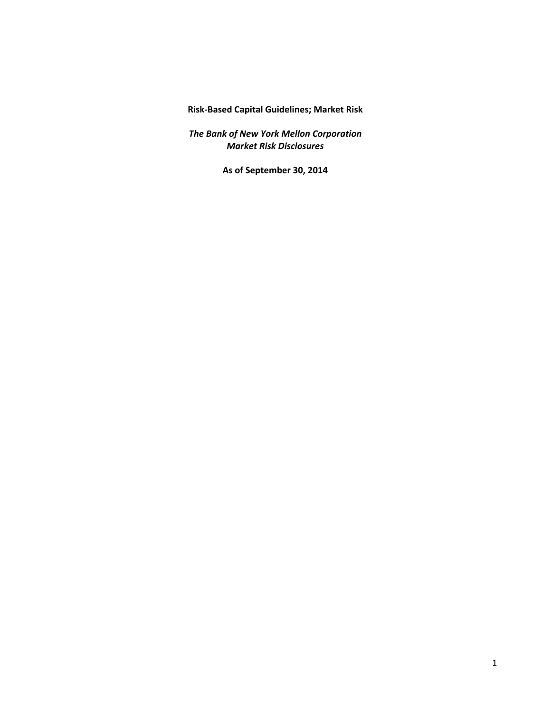**Risk‐Based Capital Guidelines; Market Risk**

 *The Bank of New York Mellon Corporation Market Risk Disclosures*

**As of September 30, 2014**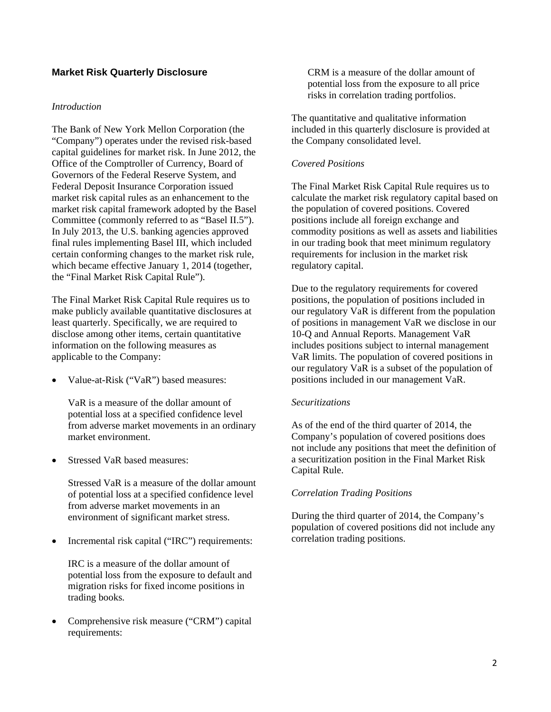# **Market Risk Quarterly Disclosure**

# *Introduction*

The Bank of New York Mellon Corporation (the "Company") operates under the revised risk-based capital guidelines for market risk. In June 2012, the Office of the Comptroller of Currency, Board of Governors of the Federal Reserve System, and Federal Deposit Insurance Corporation issued market risk capital rules as an enhancement to the market risk capital framework adopted by the Basel Committee (commonly referred to as "Basel II.5"). In July 2013, the U.S. banking agencies approved final rules implementing Basel III, which included certain conforming changes to the market risk rule, which became effective January 1, 2014 (together, the "Final Market Risk Capital Rule").

The Final Market Risk Capital Rule requires us to make publicly available quantitative disclosures at least quarterly. Specifically, we are required to disclose among other items, certain quantitative information on the following measures as applicable to the Company:

Value-at-Risk ("VaR") based measures:

VaR is a measure of the dollar amount of potential loss at a specified confidence level from adverse market movements in an ordinary market environment.

Stressed VaR based measures:

Stressed VaR is a measure of the dollar amount of potential loss at a specified confidence level from adverse market movements in an environment of significant market stress.

 $\bullet$ Incremental risk capital ("IRC") requirements:

IRC is a measure of the dollar amount of potential loss from the exposure to default and migration risks for fixed income positions in trading books.

 Comprehensive risk measure ("CRM") capital requirements:

CRM is a measure of the dollar amount of potential loss from the exposure to all price risks in correlation trading portfolios.

The quantitative and qualitative information included in this quarterly disclosure is provided at the Company consolidated level.

# *Covered Positions*

The Final Market Risk Capital Rule requires us to calculate the market risk regulatory capital based on the population of covered positions. Covered positions include all foreign exchange and commodity positions as well as assets and liabilities in our trading book that meet minimum regulatory requirements for inclusion in the market risk regulatory capital.

Due to the regulatory requirements for covered positions, the population of positions included in our regulatory VaR is different from the population of positions in management VaR we disclose in our 10-Q and Annual Reports. Management VaR includes positions subject to internal management VaR limits. The population of covered positions in our regulatory VaR is a subset of the population of positions included in our management VaR.

## *Securitizations*

As of the end of the third quarter of 2014, the Company's population of covered positions does not include any positions that meet the definition of a securitization position in the Final Market Risk Capital Rule.

# *Correlation Trading Positions*

During the third quarter of 2014, the Company's population of covered positions did not include any correlation trading positions.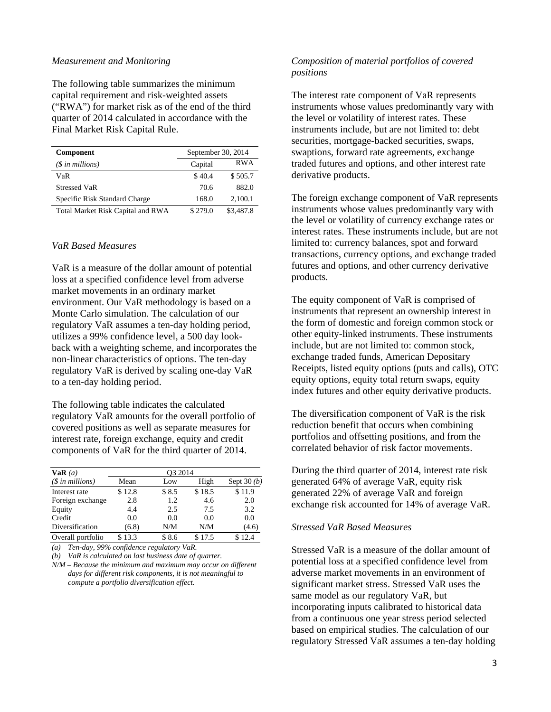#### *Measurement and Monitoring*

The following table summarizes the minimum capital requirement and risk-weighted assets ("RWA") for market risk as of the end of the third quarter of 2014 calculated in accordance with the Final Market Risk Capital Rule.

| <b>Component</b>                         | September 30, 2014 |            |
|------------------------------------------|--------------------|------------|
| $(\$$ in millions)                       | Capital            | <b>RWA</b> |
| VaR                                      | \$40.4             | \$505.7    |
| <b>Stressed VaR</b>                      | 70.6               | 882.0      |
| Specific Risk Standard Charge            | 168.0              | 2,100.1    |
| <b>Total Market Risk Capital and RWA</b> | \$279.0            | \$3,487.8  |

#### *VaR Based Measures*

VaR is a measure of the dollar amount of potential loss at a specified confidence level from adverse market movements in an ordinary market environment. Our VaR methodology is based on a Monte Carlo simulation. The calculation of our regulatory VaR assumes a ten-day holding period, utilizes a 99% confidence level, a 500 day lookback with a weighting scheme, and incorporates the non-linear characteristics of options. The ten-day regulatory VaR is derived by scaling one-day VaR to a ten-day holding period.

The following table indicates the calculated regulatory VaR amounts for the overall portfolio of covered positions as well as separate measures for interest rate, foreign exchange, equity and credit components of VaR for the third quarter of 2014.

| VaR(a)            | O <sub>3</sub> 2014 |       |        |              |  |  |
|-------------------|---------------------|-------|--------|--------------|--|--|
| $($$ in millions) | Mean                | Low   | High   | Sept $30(b)$ |  |  |
| Interest rate     | \$12.8              | \$8.5 | \$18.5 | \$11.9       |  |  |
| Foreign exchange  | 2.8                 | 1.2   | 4.6    | 2.0          |  |  |
| Equity            | 4.4                 | 2.5   | 7.5    | 3.2          |  |  |
| Credit            | 0.0                 | 0.0   | 0.0    | 0.0          |  |  |
| Diversification   | (6.8)               | N/M   | N/M    | (4.6)        |  |  |
| Overall portfolio | \$13.3              | \$8.6 | \$17.5 | 12.4         |  |  |

*(a) Ten-day, 99% confidence regulatory VaR.* 

*(b) VaR is calculated on last business date of quarter.* 

*N/M* – *Because the minimum and maximum may occur on different days for different risk components, it is not meaningful to compute a portfolio diversification effect.* 

# *Composition of material portfolios of covered positions*

The interest rate component of VaR represents instruments whose values predominantly vary with the level or volatility of interest rates. These instruments include, but are not limited to: debt securities, mortgage-backed securities, swaps, swaptions, forward rate agreements, exchange traded futures and options, and other interest rate derivative products.

The foreign exchange component of VaR represents instruments whose values predominantly vary with the level or volatility of currency exchange rates or interest rates. These instruments include, but are not limited to: currency balances, spot and forward transactions, currency options, and exchange traded futures and options, and other currency derivative products.

The equity component of VaR is comprised of instruments that represent an ownership interest in the form of domestic and foreign common stock or other equity-linked instruments. These instruments include, but are not limited to: common stock, exchange traded funds, American Depositary Receipts, listed equity options (puts and calls), OTC equity options, equity total return swaps, equity index futures and other equity derivative products.

The diversification component of VaR is the risk reduction benefit that occurs when combining portfolios and offsetting positions, and from the correlated behavior of risk factor movements.

During the third quarter of 2014, interest rate risk generated 64% of average VaR, equity risk generated 22% of average VaR and foreign exchange risk accounted for 14% of average VaR.

## *Stressed VaR Based Measures*

Stressed VaR is a measure of the dollar amount of potential loss at a specified confidence level from adverse market movements in an environment of significant market stress. Stressed VaR uses the same model as our regulatory VaR, but incorporating inputs calibrated to historical data from a continuous one year stress period selected based on empirical studies. The calculation of our regulatory Stressed VaR assumes a ten-day holding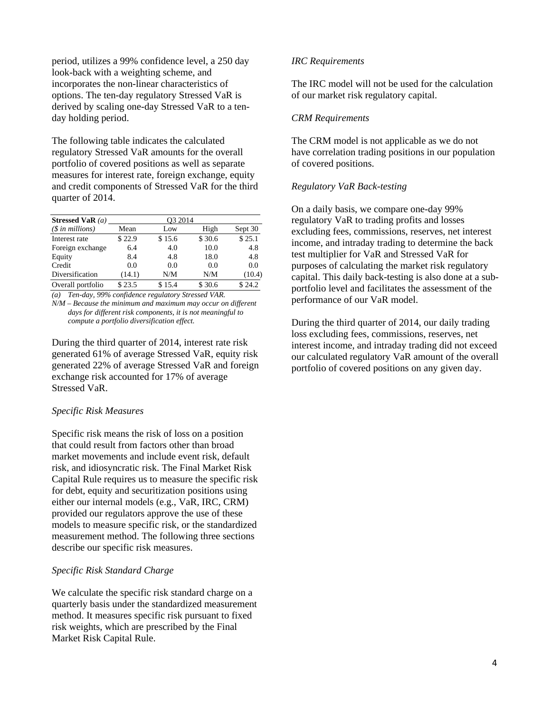period, utilizes a 99% confidence level, a 250 day look-back with a weighting scheme, and incorporates the non-linear characteristics of options. The ten-day regulatory Stressed VaR is derived by scaling one-day Stressed VaR to a tenday holding period.

The following table indicates the calculated regulatory Stressed VaR amounts for the overall portfolio of covered positions as well as separate measures for interest rate, foreign exchange, equity and credit components of Stressed VaR for the third quarter of 2014.

| Stressed VaR $(a)$ | O <sub>3</sub> 2014 |        |        |         |  |
|--------------------|---------------------|--------|--------|---------|--|
| $($in\, millions)$ | Mean                | Low    | High   | Sept 30 |  |
| Interest rate      | \$22.9              | \$15.6 | \$30.6 | \$25.1  |  |
| Foreign exchange   | 6.4                 | 4.0    | 10.0   | 4.8     |  |
| Equity             | 8.4                 | 4.8    | 18.0   | 4.8     |  |
| Credit             | 0.0                 | 0.0    | 0.0    | 0.0     |  |
| Diversification    | (14.1)              | N/M    | N/M    | (10.4)  |  |
| Overall portfolio  | \$23.5              | \$15.4 | \$30.6 | \$24.2  |  |

*(a) Ten-day, 99% confidence regulatory Stressed VAR.* 

*N/M* – *Because the minimum and maximum may occur on different days for different risk components, it is not meaningful to compute a portfolio diversification effect.* 

During the third quarter of 2014, interest rate risk generated 61% of average Stressed VaR, equity risk generated 22% of average Stressed VaR and foreign exchange risk accounted for 17% of average Stressed VaR.

# *Specific Risk Measures*

Specific risk means the risk of loss on a position that could result from factors other than broad market movements and include event risk, default risk, and idiosyncratic risk. The Final Market Risk Capital Rule requires us to measure the specific risk for debt, equity and securitization positions using either our internal models (e.g., VaR, IRC, CRM) provided our regulators approve the use of these models to measure specific risk, or the standardized measurement method. The following three sections describe our specific risk measures.

## *Specific Risk Standard Charge*

We calculate the specific risk standard charge on a quarterly basis under the standardized measurement method. It measures specific risk pursuant to fixed risk weights, which are prescribed by the Final Market Risk Capital Rule.

## *IRC Requirements*

The IRC model will not be used for the calculation of our market risk regulatory capital.

## *CRM Requirements*

The CRM model is not applicable as we do not have correlation trading positions in our population of covered positions.

# *Regulatory VaR Back-testing*

On a daily basis, we compare one-day 99% regulatory VaR to trading profits and losses excluding fees, commissions, reserves, net interest income, and intraday trading to determine the back test multiplier for VaR and Stressed VaR for purposes of calculating the market risk regulatory capital. This daily back-testing is also done at a subportfolio level and facilitates the assessment of the performance of our VaR model.

During the third quarter of 2014, our daily trading loss excluding fees, commissions, reserves, net interest income, and intraday trading did not exceed our calculated regulatory VaR amount of the overall portfolio of covered positions on any given day.